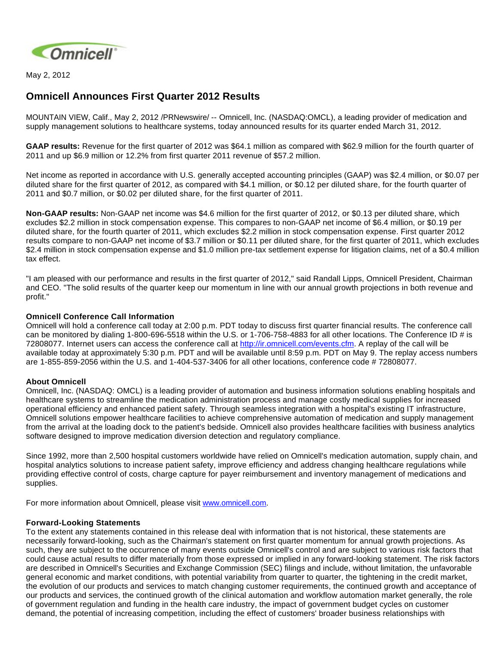

May 2, 2012

# **Omnicell Announces First Quarter 2012 Results**

MOUNTAIN VIEW, Calif., May 2, 2012 /PRNewswire/ -- Omnicell, Inc. (NASDAQ:OMCL), a leading provider of medication and supply management solutions to healthcare systems, today announced results for its quarter ended March 31, 2012.

**GAAP results:** Revenue for the first quarter of 2012 was \$64.1 million as compared with \$62.9 million for the fourth quarter of 2011 and up \$6.9 million or 12.2% from first quarter 2011 revenue of \$57.2 million.

Net income as reported in accordance with U.S. generally accepted accounting principles (GAAP) was \$2.4 million, or \$0.07 per diluted share for the first quarter of 2012, as compared with \$4.1 million, or \$0.12 per diluted share, for the fourth quarter of 2011 and \$0.7 million, or \$0.02 per diluted share, for the first quarter of 2011.

**Non-GAAP results:** Non-GAAP net income was \$4.6 million for the first quarter of 2012, or \$0.13 per diluted share, which excludes \$2.2 million in stock compensation expense. This compares to non-GAAP net income of \$6.4 million, or \$0.19 per diluted share, for the fourth quarter of 2011, which excludes \$2.2 million in stock compensation expense. First quarter 2012 results compare to non-GAAP net income of \$3.7 million or \$0.11 per diluted share, for the first quarter of 2011, which excludes \$2.4 million in stock compensation expense and \$1.0 million pre-tax settlement expense for litigation claims, net of a \$0.4 million tax effect.

"I am pleased with our performance and results in the first quarter of 2012," said Randall Lipps, Omnicell President, Chairman and CEO. "The solid results of the quarter keep our momentum in line with our annual growth projections in both revenue and profit."

## **Omnicell Conference Call Information**

Omnicell will hold a conference call today at 2:00 p.m. PDT today to discuss first quarter financial results. The conference call can be monitored by dialing 1-800-696-5518 within the U.S. or 1-706-758-4883 for all other locations. The Conference ID # is 72808077. Internet users can access the conference call at [http://ir.omnicell.com/events.cfm.](http://ir.omnicell.com/events.cfm) A replay of the call will be available today at approximately 5:30 p.m. PDT and will be available until 8:59 p.m. PDT on May 9. The replay access numbers are 1-855-859-2056 within the U.S. and 1-404-537-3406 for all other locations, conference code # 72808077.

## **About Omnicell**

Omnicell, Inc. (NASDAQ: OMCL) is a leading provider of automation and business information solutions enabling hospitals and healthcare systems to streamline the medication administration process and manage costly medical supplies for increased operational efficiency and enhanced patient safety. Through seamless integration with a hospital's existing IT infrastructure, Omnicell solutions empower healthcare facilities to achieve comprehensive automation of medication and supply management from the arrival at the loading dock to the patient's bedside. Omnicell also provides healthcare facilities with business analytics software designed to improve medication diversion detection and regulatory compliance.

Since 1992, more than 2,500 hospital customers worldwide have relied on Omnicell's medication automation, supply chain, and hospital analytics solutions to increase patient safety, improve efficiency and address changing healthcare regulations while providing effective control of costs, charge capture for payer reimbursement and inventory management of medications and supplies.

For more information about Omnicell, please visit [www.omnicell.com](http://www.omnicell.com/).

## **Forward-Looking Statements**

To the extent any statements contained in this release deal with information that is not historical, these statements are necessarily forward-looking, such as the Chairman's statement on first quarter momentum for annual growth projections. As such, they are subject to the occurrence of many events outside Omnicell's control and are subject to various risk factors that could cause actual results to differ materially from those expressed or implied in any forward-looking statement. The risk factors are described in Omnicell's Securities and Exchange Commission (SEC) filings and include, without limitation, the unfavorable general economic and market conditions, with potential variability from quarter to quarter, the tightening in the credit market, the evolution of our products and services to match changing customer requirements, the continued growth and acceptance of our products and services, the continued growth of the clinical automation and workflow automation market generally, the role of government regulation and funding in the health care industry, the impact of government budget cycles on customer demand, the potential of increasing competition, including the effect of customers' broader business relationships with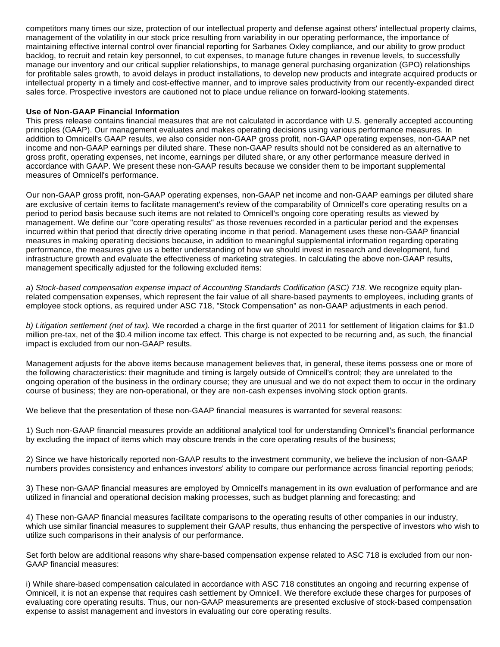competitors many times our size, protection of our intellectual property and defense against others' intellectual property claims, management of the volatility in our stock price resulting from variability in our operating performance, the importance of maintaining effective internal control over financial reporting for Sarbanes Oxley compliance, and our ability to grow product backlog, to recruit and retain key personnel, to cut expenses, to manage future changes in revenue levels, to successfully manage our inventory and our critical supplier relationships, to manage general purchasing organization (GPO) relationships for profitable sales growth, to avoid delays in product installations, to develop new products and integrate acquired products or intellectual property in a timely and cost-effective manner, and to improve sales productivity from our recently-expanded direct sales force. Prospective investors are cautioned not to place undue reliance on forward-looking statements.

#### **Use of Non-GAAP Financial Information**

This press release contains financial measures that are not calculated in accordance with U.S. generally accepted accounting principles (GAAP). Our management evaluates and makes operating decisions using various performance measures. In addition to Omnicell's GAAP results, we also consider non-GAAP gross profit, non-GAAP operating expenses, non-GAAP net income and non-GAAP earnings per diluted share. These non-GAAP results should not be considered as an alternative to gross profit, operating expenses, net income, earnings per diluted share, or any other performance measure derived in accordance with GAAP. We present these non-GAAP results because we consider them to be important supplemental measures of Omnicell's performance.

Our non-GAAP gross profit, non-GAAP operating expenses, non-GAAP net income and non-GAAP earnings per diluted share are exclusive of certain items to facilitate management's review of the comparability of Omnicell's core operating results on a period to period basis because such items are not related to Omnicell's ongoing core operating results as viewed by management. We define our "core operating results" as those revenues recorded in a particular period and the expenses incurred within that period that directly drive operating income in that period. Management uses these non-GAAP financial measures in making operating decisions because, in addition to meaningful supplemental information regarding operating performance, the measures give us a better understanding of how we should invest in research and development, fund infrastructure growth and evaluate the effectiveness of marketing strategies. In calculating the above non-GAAP results, management specifically adjusted for the following excluded items:

a) Stock-based compensation expense impact of Accounting Standards Codification (ASC) 718. We recognize equity planrelated compensation expenses, which represent the fair value of all share-based payments to employees, including grants of employee stock options, as required under ASC 718, "Stock Compensation" as non-GAAP adjustments in each period.

b) Litigation settlement (net of tax). We recorded a charge in the first quarter of 2011 for settlement of litigation claims for \$1.0 million pre-tax, net of the \$0.4 million income tax effect. This charge is not expected to be recurring and, as such, the financial impact is excluded from our non-GAAP results.

Management adjusts for the above items because management believes that, in general, these items possess one or more of the following characteristics: their magnitude and timing is largely outside of Omnicell's control; they are unrelated to the ongoing operation of the business in the ordinary course; they are unusual and we do not expect them to occur in the ordinary course of business; they are non-operational, or they are non-cash expenses involving stock option grants.

We believe that the presentation of these non-GAAP financial measures is warranted for several reasons:

1) Such non-GAAP financial measures provide an additional analytical tool for understanding Omnicell's financial performance by excluding the impact of items which may obscure trends in the core operating results of the business;

2) Since we have historically reported non-GAAP results to the investment community, we believe the inclusion of non-GAAP numbers provides consistency and enhances investors' ability to compare our performance across financial reporting periods;

3) These non-GAAP financial measures are employed by Omnicell's management in its own evaluation of performance and are utilized in financial and operational decision making processes, such as budget planning and forecasting; and

4) These non-GAAP financial measures facilitate comparisons to the operating results of other companies in our industry, which use similar financial measures to supplement their GAAP results, thus enhancing the perspective of investors who wish to utilize such comparisons in their analysis of our performance.

Set forth below are additional reasons why share-based compensation expense related to ASC 718 is excluded from our non-GAAP financial measures:

i) While share-based compensation calculated in accordance with ASC 718 constitutes an ongoing and recurring expense of Omnicell, it is not an expense that requires cash settlement by Omnicell. We therefore exclude these charges for purposes of evaluating core operating results. Thus, our non-GAAP measurements are presented exclusive of stock-based compensation expense to assist management and investors in evaluating our core operating results.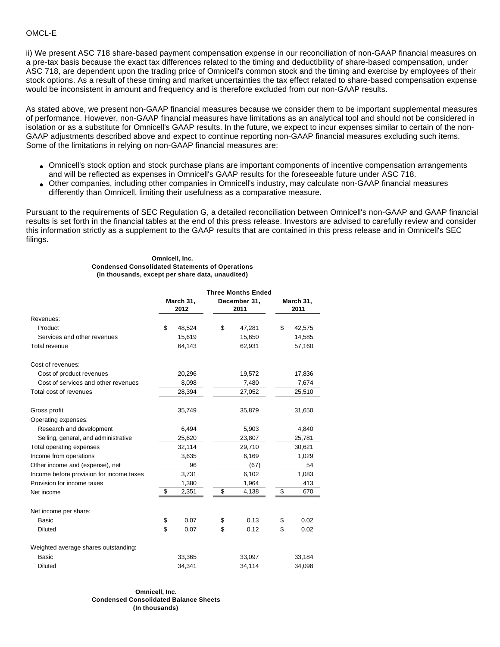ii) We present ASC 718 share-based payment compensation expense in our reconciliation of non-GAAP financial measures on a pre-tax basis because the exact tax differences related to the timing and deductibility of share-based compensation, under ASC 718, are dependent upon the trading price of Omnicell's common stock and the timing and exercise by employees of their stock options. As a result of these timing and market uncertainties the tax effect related to share-based compensation expense would be inconsistent in amount and frequency and is therefore excluded from our non-GAAP results.

As stated above, we present non-GAAP financial measures because we consider them to be important supplemental measures of performance. However, non-GAAP financial measures have limitations as an analytical tool and should not be considered in isolation or as a substitute for Omnicell's GAAP results. In the future, we expect to incur expenses similar to certain of the non-GAAP adjustments described above and expect to continue reporting non-GAAP financial measures excluding such items. Some of the limitations in relying on non-GAAP financial measures are:

- Omnicell's stock option and stock purchase plans are important components of incentive compensation arrangements and will be reflected as expenses in Omnicell's GAAP results for the foreseeable future under ASC 718.
- Other companies, including other companies in Omnicell's industry, may calculate non-GAAP financial measures differently than Omnicell, limiting their usefulness as a comparative measure.

Pursuant to the requirements of SEC Regulation G, a detailed reconciliation between Omnicell's non-GAAP and GAAP financial results is set forth in the financial tables at the end of this press release. Investors are advised to carefully review and consider this information strictly as a supplement to the GAAP results that are contained in this press release and in Omnicell's SEC filings.

#### **Omnicell, Inc. Condensed Consolidated Statements of Operations (in thousands, except per share data, unaudited)**

|                                          | <b>Three Months Ended</b> |                   |    |                      |    |                   |  |
|------------------------------------------|---------------------------|-------------------|----|----------------------|----|-------------------|--|
|                                          |                           | March 31,<br>2012 |    | December 31,<br>2011 |    | March 31,<br>2011 |  |
| Revenues:                                |                           |                   |    |                      |    |                   |  |
| Product                                  | \$                        | 48,524            | \$ | 47,281               | \$ | 42,575            |  |
| Services and other revenues              |                           | 15,619            |    | 15,650               |    | 14,585            |  |
| <b>Total revenue</b>                     |                           | 64,143            |    | 62,931               |    | 57,160            |  |
| Cost of revenues:                        |                           |                   |    |                      |    |                   |  |
| Cost of product revenues                 |                           | 20,296            |    | 19,572               |    | 17,836            |  |
| Cost of services and other revenues      |                           | 8,098             |    | 7,480                |    | 7,674             |  |
| Total cost of revenues                   |                           | 28,394            |    | 27,052               |    | 25,510            |  |
| Gross profit                             |                           | 35,749            |    | 35,879               |    | 31,650            |  |
| Operating expenses:                      |                           |                   |    |                      |    |                   |  |
| Research and development                 |                           | 6,494             |    | 5,903                |    | 4,840             |  |
| Selling, general, and administrative     |                           | 25,620            |    | 23,807               |    | 25,781            |  |
| Total operating expenses                 |                           | 32,114            |    | 29,710               |    | 30,621            |  |
| Income from operations                   |                           | 3,635             |    | 6,169                |    | 1,029             |  |
| Other income and (expense), net          |                           | 96                |    | (67)                 |    | 54                |  |
| Income before provision for income taxes |                           | 3,731             |    | 6,102                |    | 1,083             |  |
| Provision for income taxes               |                           | 1,380             |    | 1,964                |    | 413               |  |
| Net income                               | \$                        | 2,351             | \$ | 4,138                | \$ | 670               |  |
| Net income per share:                    |                           |                   |    |                      |    |                   |  |
| Basic                                    | \$                        | 0.07              | \$ | 0.13                 | \$ | 0.02              |  |
| <b>Diluted</b>                           | \$                        | 0.07              | \$ | 0.12                 | \$ | 0.02              |  |
| Weighted average shares outstanding:     |                           |                   |    |                      |    |                   |  |
| <b>Basic</b>                             |                           | 33,365            |    | 33,097               |    | 33,184            |  |
| <b>Diluted</b>                           |                           | 34.341            |    | 34,114               |    | 34,098            |  |

**Omnicell, Inc. Condensed Consolidated Balance Sheets (In thousands)**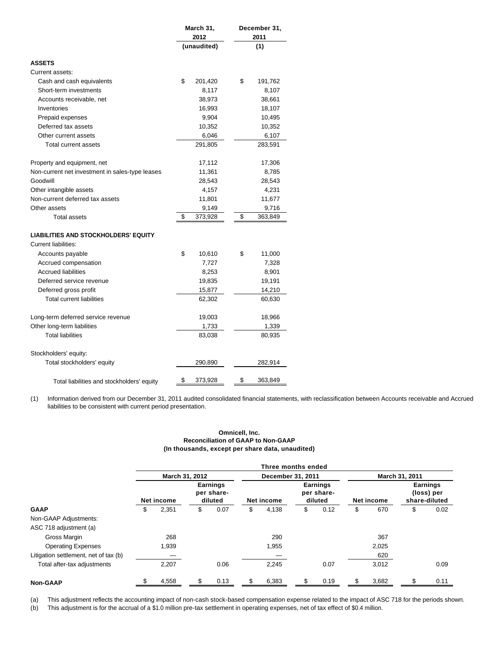|                                                                     | March 31,<br>2012 |             | December 31,<br>2011 |  |  |
|---------------------------------------------------------------------|-------------------|-------------|----------------------|--|--|
|                                                                     |                   | (unaudited) | (1)                  |  |  |
| <b>ASSETS</b>                                                       |                   |             |                      |  |  |
| Current assets:                                                     |                   |             |                      |  |  |
| Cash and cash equivalents                                           | \$                | 201,420     | \$<br>191,762        |  |  |
| Short-term investments                                              |                   | 8,117       | 8,107                |  |  |
| Accounts receivable, net                                            |                   | 38,973      | 38,661               |  |  |
| Inventories                                                         |                   | 16,993      | 18,107               |  |  |
| Prepaid expenses                                                    |                   | 9,904       | 10,495               |  |  |
| Deferred tax assets                                                 |                   | 10,352      | 10,352               |  |  |
| Other current assets                                                |                   | 6,046       | 6,107                |  |  |
| Total current assets                                                |                   | 291,805     | 283,591              |  |  |
| Property and equipment, net                                         |                   | 17,112      | 17,306               |  |  |
| Non-current net investment in sales-type leases                     |                   | 11,361      | 8,785                |  |  |
| Goodwill                                                            |                   | 28,543      | 28,543               |  |  |
| Other intangible assets                                             |                   | 4,157       | 4,231                |  |  |
| Non-current deferred tax assets                                     |                   | 11,801      | 11,677               |  |  |
| Other assets                                                        |                   | 9,149       | 9,716                |  |  |
| <b>Total assets</b>                                                 | \$                | 373,928     | \$<br>363,849        |  |  |
| <b>LIABILITIES AND STOCKHOLDERS' EQUITY</b><br>Current liabilities: |                   |             |                      |  |  |
| Accounts payable                                                    | \$                | 10,610      | \$<br>11,000         |  |  |
| Accrued compensation                                                |                   | 7,727       | 7,328                |  |  |
| <b>Accrued liabilities</b>                                          |                   | 8,253       | 8,901                |  |  |
| Deferred service revenue                                            |                   | 19,835      | 19,191               |  |  |
| Deferred gross profit                                               |                   | 15,877      | 14,210               |  |  |
| <b>Total current liabilities</b>                                    |                   | 62,302      | 60,630               |  |  |
| Long-term deferred service revenue                                  |                   | 19,003      | 18,966               |  |  |
| Other long-term liabilities                                         |                   | 1,733       | 1,339                |  |  |
| <b>Total liabilities</b>                                            |                   | 83,038      | 80,935               |  |  |
| Stockholders' equity:                                               |                   |             |                      |  |  |
| Total stockholders' equity                                          |                   | 290,890     | 282,914              |  |  |
| Total liabilities and stockholders' equity                          | \$                | 373,928     | \$<br>363,849        |  |  |

(1) Information derived from our December 31, 2011 audited consolidated financial statements, with reclassification between Accounts receivable and Accrued liabilities to be consistent with current period presentation.

#### **Omnicell, Inc. Reconciliation of GAAP to Non-GAAP (In thousands, except per share data, unaudited)**

|                                       | Three months ended |            |    |                                          |                   |            |    |                                          |    |            |     |                                                |
|---------------------------------------|--------------------|------------|----|------------------------------------------|-------------------|------------|----|------------------------------------------|----|------------|-----|------------------------------------------------|
|                                       | March 31, 2012     |            |    |                                          | December 31, 2011 |            |    | March 31, 2011                           |    |            |     |                                                |
|                                       |                    | Net income |    | <b>Earnings</b><br>per share-<br>diluted |                   | Net income |    | <b>Earnings</b><br>per share-<br>diluted |    | Net income |     | <b>Earnings</b><br>(loss) per<br>share-diluted |
| <b>GAAP</b>                           | \$                 | 2,351      | \$ | 0.07                                     | \$                | 4,138      | \$ | 0.12                                     | \$ | 670        | \$  | 0.02                                           |
| Non-GAAP Adjustments:                 |                    |            |    |                                          |                   |            |    |                                          |    |            |     |                                                |
| ASC 718 adjustment (a)                |                    |            |    |                                          |                   |            |    |                                          |    |            |     |                                                |
| Gross Margin                          |                    | 268        |    |                                          |                   | 290        |    |                                          |    | 367        |     |                                                |
| <b>Operating Expenses</b>             |                    | 1,939      |    |                                          |                   | 1,955      |    |                                          |    | 2,025      |     |                                                |
| Litigation settlement, net of tax (b) |                    |            |    |                                          |                   |            |    |                                          |    | 620        |     |                                                |
| Total after-tax adjustments           |                    | 2,207      |    | 0.06                                     |                   | 2,245      |    | 0.07                                     |    | 3,012      |     | 0.09                                           |
| <b>Non-GAAP</b>                       |                    | 4,558      | \$ | 0.13                                     |                   | 6,383      | \$ | 0.19                                     |    | 3,682      | \$. | 0.11                                           |

(a) This adjustment reflects the accounting impact of non-cash stock-based compensation expense related to the impact of ASC 718 for the periods shown.

(b) This adjustment is for the accrual of a \$1.0 million pre-tax settlement in operating expenses, net of tax effect of \$0.4 million.